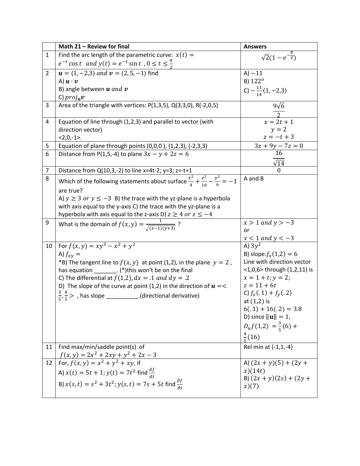|                | Math 21 - Review for final                                                                            | <b>Answers</b>                        |
|----------------|-------------------------------------------------------------------------------------------------------|---------------------------------------|
| $\mathbf{1}$   | Find the arc length of the parametric curve: $x(t) =$                                                 | $\sqrt{2}(1-e^{-\frac{\pi}{2}})$      |
|                | $e^{-t}$ cos t and $y(t) = e^{-t}$ sin t, $0 \le t \le \frac{\pi}{2}$                                 |                                       |
| $\overline{2}$ | $u = (1, -2, 3)$ and $v = (2, 5, -1)$ find                                                            | $A) - 11$                             |
|                | A) $\boldsymbol{u} \cdot \boldsymbol{v}$                                                              | $B) 122^o$                            |
|                | B) angle between $u$ and $v$                                                                          | C) $-\frac{11}{14}(1,-2,3)$           |
|                | C) $proj_{\mathbf{u}} \mathbf{v}$                                                                     |                                       |
| 3              | Area of the triangle with vertices: P(1,3,5), Q(3,3,0), R(-2,0,5)                                     | $9\sqrt{6}$                           |
| 4              | Equation of line through (1,2,3) and parallel to vector (with                                         | $x = 2t + 1$                          |
|                | direction vector)                                                                                     | $y = 2$                               |
|                | $<2,0,-1$ .                                                                                           | $z = -t + 3$                          |
| 5              | Equation of plane through points (0,0,0), (1,2,3), (-2,3,3)                                           | $\frac{3x+9y-7z=0}{16}$               |
| 6              | Distance from P(1,5,-4) to plane $3x - y + 2z = 6$                                                    | $\sqrt{14}$                           |
| 7              | Distance from $Q(10,3,-2)$ to line x=4t-2; y=3; z=-t+1                                                | $\theta$                              |
| 8              | Which of the following statements about surface $\frac{x^2}{4} + \frac{z^2}{16} - \frac{y^2}{6} = -1$ | A and B                               |
|                | are true?<br>A) $y \ge 3$ or $y \le -3$ B) the trace with the yz-plane is a hyperbola                 |                                       |
|                | with axis equal to the y-axis C) the trace with the yz-plane is a                                     |                                       |
|                | hyperbola with axis equal to the z-axis D) $z \ge 4$ or $z \le -4$                                    |                                       |
| 9              |                                                                                                       | $x > 1$ and $y > -3$                  |
|                | What is the domain of $f(x, y) = \frac{1}{\sqrt{(x-1)(y+3)}}$ ?                                       | or                                    |
|                |                                                                                                       | $\frac{x < 1 \text{ and } y < -3}{A}$ |
| 10             | For $f(x, y) = xy^3 - x^2 + y^2$                                                                      |                                       |
|                | A) $f_{xy} =$                                                                                         | B) slope: $f_x(1,2) = 6$              |
|                | *B) The tangent line to $f(x, y)$ at point (1,2), in the plane $y = 2$ ,                              | Line with direction vector            |
|                | has equation _________. (*)this won't be on the final                                                 | $<$ 1,0,6> through (1,2,11) is        |
|                | C) The differential at $f(1,2)$ , $dx = .1$ and $dy = .2$                                             | $x = 1 + t$ ; $y = 2$ ;               |
|                | D) The slope of the curve at point (1,2) in the direction of $u = <$                                  | $z = 11 + 6t$                         |
|                | $\frac{3}{5}, \frac{4}{5}$ > , has slope ___________.(directional derivative)                         | C) $f_x(.1) + f_y(.2)$                |
|                |                                                                                                       | at $(1,2)$ is                         |
|                |                                                                                                       | $6(.1) + 16(.2) = 3.8$                |
|                |                                                                                                       | D) since $  u   = 1$ ,                |
|                |                                                                                                       | $D_u f(1,2) = \frac{3}{5}(6) +$       |
|                |                                                                                                       | $\frac{4}{5}(16)$                     |
| 11             | Find max/min/saddle point(s) of                                                                       | Rel min at (-1,1,-4)                  |
|                |                                                                                                       |                                       |
| 12             | $f(x, y) = 2x^2 + 2xy + y^2 + 2x - 3$<br>For, $f(x, y) = x^2 + y^2 + xy$ , if                         | A) $(2x + y)(5) + (2y +$              |
|                | A) $x(t) = 5t + 1$ ; $y(t) = 7t^2$ find $\frac{df}{dt}$                                               | x)(14t)                               |
|                | B) $x(s,t) = s^2 + 3t^2$ ; $y(s,t) = 7s + 5t$ find $\frac{\partial f}{\partial s}$                    | B) $(2x + y)(2s) + (2y + y)$          |
|                |                                                                                                       | x)(7)                                 |
|                |                                                                                                       |                                       |